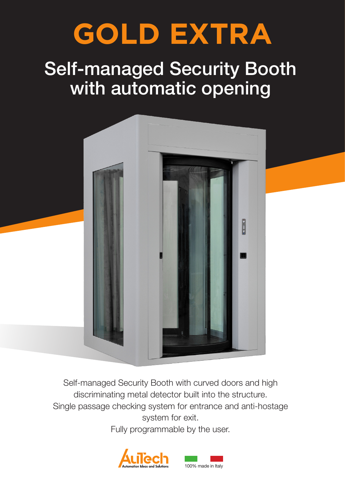# **GOLD EXTRA**

# Self-managed Security Booth with automatic opening



Self-managed Security Booth with curved doors and high discriminating metal detector built into the structure. Single passage checking system for entrance and anti-hostage system for exit.

Fully programmable by the user.

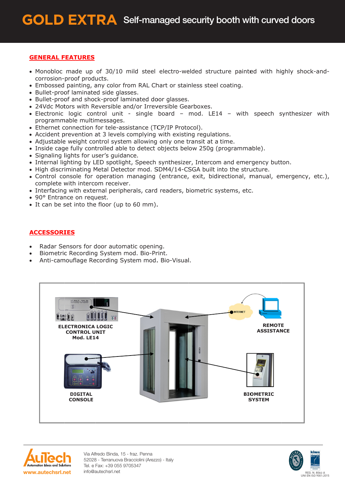#### **GENERAL FEATURES**

- Monobloc made up of 30/10 mild steel electro-welded structure painted with highly shock-andcorrosion-proof products.
- Embossed painting, any color from RAL Chart or stainless steel coating.
- Bullet-proof laminated side glasses.
- Bullet-proof and shock-proof laminated door glasses.
- 24Vdc Motors with Reversible and/or Irreversible Gearboxes.
- Electronic logic control unit single board mod. LE14 with speech synthesizer with programmable multimessages.
- Ethernet connection for tele-assistance (TCP/IP Protocol).
- Accident prevention at 3 levels complying with existing regulations.
- Adjustable weight control system allowing only one transit at a time.
- Inside cage fully controlled able to detect objects below 250g (programmable).
- · Signaling lights for user's guidance.
- Internal lighting by LED spotlight, Speech synthesizer, Intercom and emergency button.
- . High discriminating Metal Detector mod. SDM4/14-CSGA built into the structure.
- Control console for operation managing (entrance, exit, bidirectional, manual, emergency, etc.), complete with intercom receiver.
- Interfacing with external peripherals, card readers, biometric systems, etc.
- 90° Entrance on request.
- It can be set into the floor (up to 60 mm).

## **ACCESSORIES**

- Radar Sensors for door automatic opening.
- Biometric Recording System mod. Bio-Print.
- Anti-camouflage Recording System mod. Bio-Visual.





Via Alfredo Binda, 15 - fraz. Penna 52028 - Terranuova Bracciolini (Arezzo) - Italy Tel. e Fax: +39 055 9705347 info@autechsrl.net